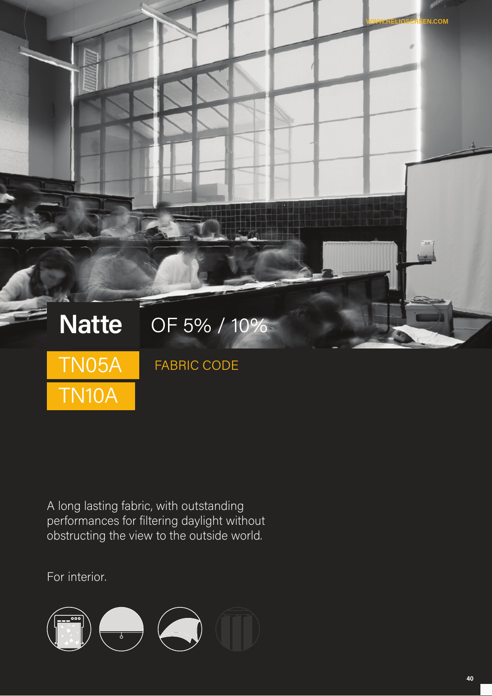

A long lasting fabric, with outstanding performances for filtering daylight without obstructing the view to the outside world.

For interior.

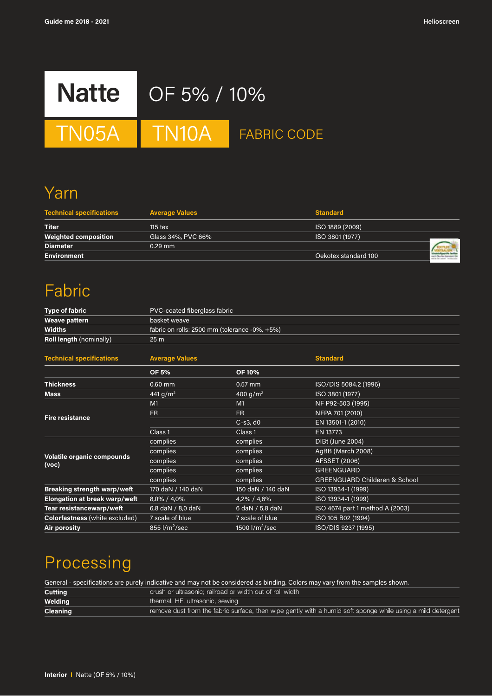

TN05A TN10A FABRIC CODE

# Yarn

| <b>Technical specifications</b> | <b>Average Values</b> | <b>Standard</b>      |  |
|---------------------------------|-----------------------|----------------------|--|
| <b>Titer</b>                    | $115$ tex             | ISO 1889 (2009)      |  |
| <b>Weighted composition</b>     | Glass 34%, PVC 66%    | ISO 3801 (1977)      |  |
| <b>Diameter</b>                 | $0.29$ mm             |                      |  |
| <b>Environment</b>              |                       | Oekotex standard 100 |  |

# Fabric

| <b>Type of fabric</b>                      | PVC-coated fiberglass fabric                  |                      |                                          |
|--------------------------------------------|-----------------------------------------------|----------------------|------------------------------------------|
| Weave pattern                              | basket weave                                  |                      |                                          |
| <b>Widths</b>                              | fabric on rolls: 2500 mm (tolerance -0%, +5%) |                      |                                          |
| Roll length (nominally)                    | 25 <sub>m</sub>                               |                      |                                          |
| <b>Technical specifications</b>            | <b>Average Values</b>                         |                      | <b>Standard</b>                          |
|                                            | <b>OF 5%</b>                                  | <b>OF 10%</b>        |                                          |
| <b>Thickness</b>                           | 0.60 mm                                       | $0.57$ mm            | ISO/DIS 5084.2 (1996)                    |
| <b>Mass</b>                                | 441 $g/m^2$                                   | 400 g/m <sup>2</sup> | ISO 3801 (1977)                          |
|                                            | M1                                            | M1                   | NF P92-503 (1995)                        |
| <b>Fire resistance</b>                     | FR.                                           | <b>FR</b>            | NFPA 701 (2010)                          |
|                                            |                                               | $C-s3, d0$           | EN 13501-1 (2010)                        |
|                                            | Class <sub>1</sub>                            | Class <sub>1</sub>   | EN 13773                                 |
|                                            | complies                                      | complies             | DIBt (June 2004)                         |
|                                            | complies                                      | complies             | AgBB (March 2008)                        |
| <b>Volatile organic compounds</b><br>(voc) | complies                                      | complies             | <b>AFSSET (2006)</b>                     |
|                                            | complies                                      | complies             | <b>GREENGUARD</b>                        |
|                                            | complies                                      | complies             | <b>GREENGUARD Childeren &amp; School</b> |
| <b>Breaking strength warp/weft</b>         | 170 daN / 140 daN                             | 150 daN / 140 daN    | ISO 13934-1 (1999)                       |
| <b>Elongation at break warp/weft</b>       | 8,0% / 4,0%                                   | 4,2% / 4,6%          | ISO 13934-1 (1999)                       |
| Tear resistancewarp/weft                   | 6,8 daN / 8,0 daN                             | 6 daN / 5,8 daN      | ISO 4674 part 1 method A (2003)          |
| Colorfastness (white excluded)             | 7 scale of blue                               | 7 scale of blue      | ISO 105 B02 (1994)                       |
| Air porosity                               | $855$ $1/m2/sec$                              | 1500 $1/m^2/sec$     | ISO/DIS 9237 (1995)                      |
|                                            |                                               |                      |                                          |

# Processing

General - specifications are purely indicative and may not be considered as binding. Colors may vary from the samples shown.<br>Cutting **Cutting Cutting** crush or ultrasonic; railroad or width out of roll width **Welding Welding thermal, HF, ultrasonic, sewing Cleaning remove dust from the fabric surface**, then wipe gently with a humid soft sponge while using a mild detergent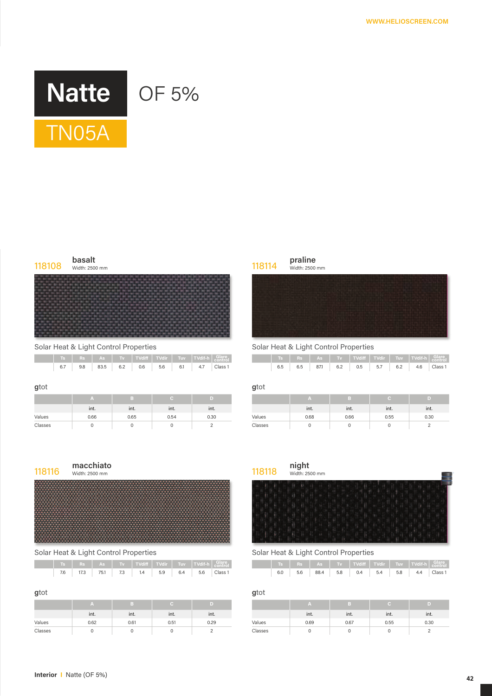



Solar Heat & Light Control Properties Solar Heat & Light Control Properties

|  |  |  |  | Ts    Rs    As    Tv    TVdiff    TVdir    Tuv    TVdif-h    Glare |  |
|--|--|--|--|--------------------------------------------------------------------|--|
|  |  |  |  |                                                                    |  |

#### **g**tot **g**tot

|         | ınt. | . .<br>int. | int. | . .<br>int. |         | int. | ınt. | int. | int. |
|---------|------|-------------|------|-------------|---------|------|------|------|------|
| Values  | 0.66 | 0.65        | 0.54 | 0.30        | Values  | 0.68 | 0.66 | 0.55 | 0.30 |
| Classes |      |             |      |             | Classes |      |      |      |      |

# Width: 2500 mm



# Solar Heat & Light Control Properties Solar Heat & Light Control Properties

|  |  |  |  | 7.6   17.3   75.1   7.3   1.4   5.9   6.4   5.6   Class 1 |  |
|--|--|--|--|-----------------------------------------------------------|--|

|         | int. | int. | int. | int. |         | ınt. | int. | int. | int. |
|---------|------|------|------|------|---------|------|------|------|------|
| Values  | 0.62 | 0.61 | 0.51 | 0.29 | Values  | 0.69 | 0.67 | 0.55 | 0.30 |
| Classes |      |      |      |      | Classes |      |      |      |      |

| praline            |
|--------------------|
| $ML = L$ , $A E A$ |

|     |                                 |   |                          |                            |          |                 | $TS$ Rs $AS$ Tv TVdiff TVdir Tuv Tuv TVdif-h $G_1$ |     |     |                 |                 |     |                          |     |          |                    |
|-----|---------------------------------|---|--------------------------|----------------------------|----------|-----------------|----------------------------------------------------|-----|-----|-----------------|-----------------|-----|--------------------------|-----|----------|--------------------|
| 6.7 | 9.8<br>$\overline{\phantom{a}}$ | . | $\overline{\phantom{a}}$ | $83.5$ 6.2 0.6 5.6 6.1 4.7 | $\cdots$ | $- \cdot \cdot$ | Class <sub>1</sub><br>.                            | 6.5 | 6.5 | $- \cdot \cdot$ | 87.1 6.2<br>$-$ | $-$ | $0.5$ 5.7 6.2 4.6<br>--- | $-$ | $\cdots$ | Class <sub>1</sub> |

| $\mathbb{A}$ |      |      |      |         |      |      |      |      |
|--------------|------|------|------|---------|------|------|------|------|
| int.         | int. | int. | int. |         | int. | int. | int. | int. |
| 0.66         | 0.65 | 0.54 | 0.30 | Values  | 0.68 | 0.66 | 0.55 | 0.30 |
| $\mathbf 0$  |      |      |      | Classes |      |      |      |      |

| 118116 | macchiato<br>Width: 2500 mm | 118118 | <b>night</b><br>Width: 2500 mm |
|--------|-----------------------------|--------|--------------------------------|
|        |                             |        |                                |

|     |          |  |                         |                             | $TS$ Rs $AS$ Tv Tvdiff Tvdir Tuv Tuvif-h Glare |     |     |  |  |     |                                  |  |
|-----|----------|--|-------------------------|-----------------------------|------------------------------------------------|-----|-----|--|--|-----|----------------------------------|--|
| 7.6 | 17.3<br> |  | 75.1 7.3 1.4 5.9<br>$-$ | 6.4 5.6 Class 1<br>$\cdots$ | .                                              | 6.0 | 5.6 |  |  | $-$ | 88.4 5.8 0.4 5.4 5.8 4.4 Class 1 |  |

### **g**tot **g**tot

| TA.         |      |           | ID)  |         |             |      |      |      |
|-------------|------|-----------|------|---------|-------------|------|------|------|
| int.        | ınt. | .<br>int. | int. |         | . .<br>ınt. | int. | int. | int. |
| 0.62        | 0.61 | 0.51      | 0.29 | Values  | 0.69        | 0.67 | 0.55 | 0.30 |
| $\sim$<br>v |      |           |      | Classes |             |      |      |      |